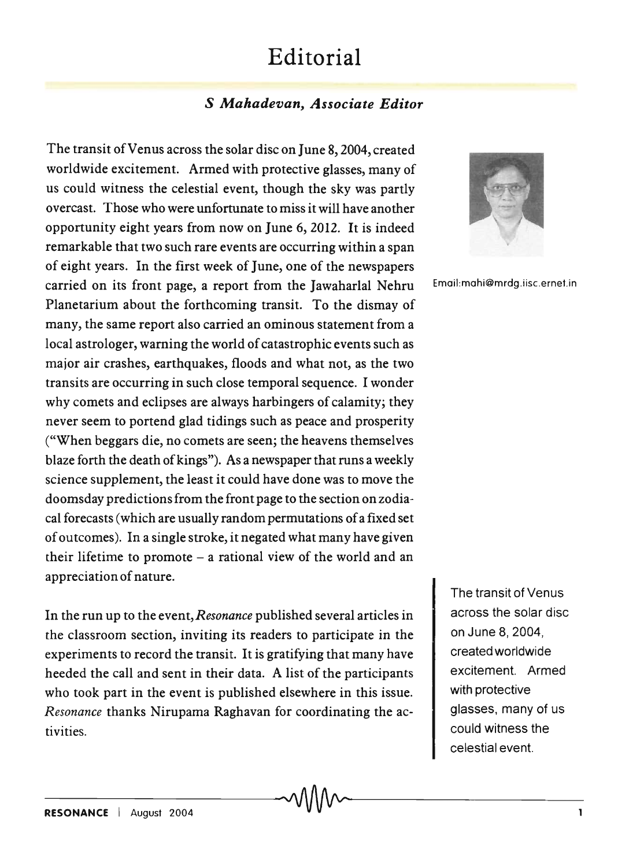## **Editorial**

## S *Mahadevan, Associate Editor*

The transit of Venus across the solar disc on June 8, 2004, created worldwide excitement. Armed with protective glasses, many of us could witness the celestial event, though the sky was partly overcast. Those who were unfortunate to miss it will have another opportunity eight years from now on June 6, 2012. It is indeed remarkable that two such rare events are occurring within a span of eight years. In the first week of June, one of the newspapers carried on its front page, a report from the Jawaharlal Nehru Email:mahi@mrdg.iisc.ernet.in Planetarium about the forthcoming transit. To the dismay of many, the same report also carried an ominous statement from a local astrologer, warning the world of catastrophic events such as major air crashes, earthquakes, floods and what not, as the two transits are occurring in such close temporal sequence. I wonder why comets and eclipses are always harbingers of calamity; they never seem to portend glad tidings such as peace and prosperity ("When beggars die, no comets are seen; the heavens themselves blaze forth the death of kings"). As a newspaper that runs a weekly science supplement, the least it could have done was to move the doomsday predictions from the front page to the section on zodiacal forecasts (which are usually random permutations of a fixed set of outcomes). In a single stroke, it negated what many have given their lifetime to promote  $-$  a rational view of the world and an appreciation of nature.

In the run up to the event, *Resonance* published several articles in the classroom section, inviting its readers to participate in the experiments to record the transit. It is gratifying that many have heeded the call and sent in their data. A list of the participants who took part in the event is published elsewhere in this issue. *Resonance* thanks Nirupama Raghavan for coordinating the activities.



The transit of Venus across the solar disc on June 8,2004, created worldwide excitement. Armed with protective glasses, many of us could witness the celestial event.